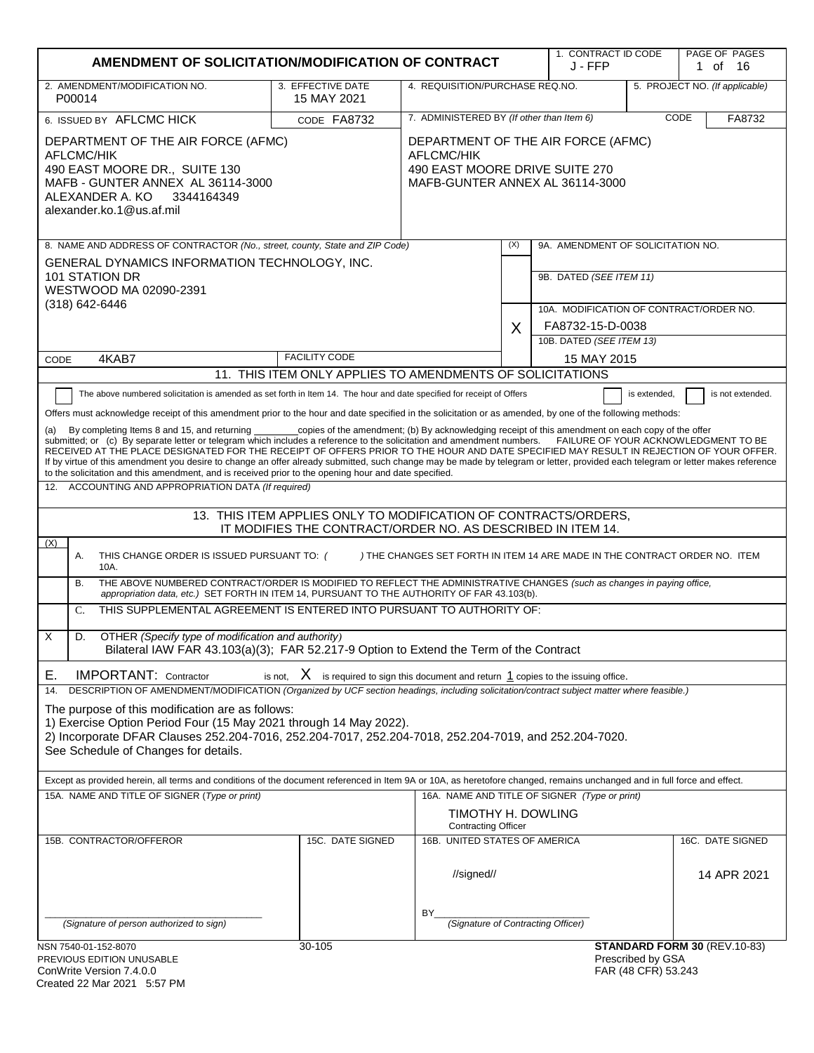|                                                                                                                                                                                                                                                                                                                                                                                                                                                                                                                                                                                                                                                                                                                                                                                 | AMENDMENT OF SOLICITATION/MODIFICATION OF CONTRACT                                                                             |                                                                            |     | 1. CONTRACT ID CODE<br>J - FFP                |                                          | PAGE OF PAGES<br>1 of 16             |
|---------------------------------------------------------------------------------------------------------------------------------------------------------------------------------------------------------------------------------------------------------------------------------------------------------------------------------------------------------------------------------------------------------------------------------------------------------------------------------------------------------------------------------------------------------------------------------------------------------------------------------------------------------------------------------------------------------------------------------------------------------------------------------|--------------------------------------------------------------------------------------------------------------------------------|----------------------------------------------------------------------------|-----|-----------------------------------------------|------------------------------------------|--------------------------------------|
| 2. AMENDMENT/MODIFICATION NO.                                                                                                                                                                                                                                                                                                                                                                                                                                                                                                                                                                                                                                                                                                                                                   | 3. EFFECTIVE DATE                                                                                                              | 4. REQUISITION/PURCHASE REQ.NO.                                            |     |                                               |                                          | 5. PROJECT NO. (If applicable)       |
| P00014                                                                                                                                                                                                                                                                                                                                                                                                                                                                                                                                                                                                                                                                                                                                                                          | 15 MAY 2021                                                                                                                    |                                                                            |     |                                               |                                          |                                      |
| 6. ISSUED BY AFLCMC HICK                                                                                                                                                                                                                                                                                                                                                                                                                                                                                                                                                                                                                                                                                                                                                        | CODE FA8732                                                                                                                    | 7. ADMINISTERED BY (If other than Item 6)                                  |     |                                               |                                          | CODE<br>FA8732                       |
| DEPARTMENT OF THE AIR FORCE (AFMC)<br><b>AFLCMC/HIK</b><br>490 EAST MOORE DR., SUITE 130<br>MAFB - GUNTER ANNEX AL 36114-3000<br>ALEXANDER A. KO 3344164349<br>alexander.ko.1@us.af.mil                                                                                                                                                                                                                                                                                                                                                                                                                                                                                                                                                                                         | DEPARTMENT OF THE AIR FORCE (AFMC)<br>AFLCMC/HIK<br>490 EAST MOORE DRIVE SUITE 270<br>MAFB-GUNTER ANNEX AL 36114-3000          |                                                                            |     |                                               |                                          |                                      |
| 8. NAME AND ADDRESS OF CONTRACTOR (No., street, county, State and ZIP Code)                                                                                                                                                                                                                                                                                                                                                                                                                                                                                                                                                                                                                                                                                                     |                                                                                                                                |                                                                            | (X) | 9A. AMENDMENT OF SOLICITATION NO.             |                                          |                                      |
| GENERAL DYNAMICS INFORMATION TECHNOLOGY, INC.<br>101 STATION DR<br>WESTWOOD MA 02090-2391                                                                                                                                                                                                                                                                                                                                                                                                                                                                                                                                                                                                                                                                                       |                                                                                                                                |                                                                            |     | 9B. DATED (SEE ITEM 11)                       |                                          |                                      |
| $(318) 642 - 6446$                                                                                                                                                                                                                                                                                                                                                                                                                                                                                                                                                                                                                                                                                                                                                              |                                                                                                                                |                                                                            |     | 10A. MODIFICATION OF CONTRACT/ORDER NO.       |                                          |                                      |
|                                                                                                                                                                                                                                                                                                                                                                                                                                                                                                                                                                                                                                                                                                                                                                                 |                                                                                                                                |                                                                            | X   | FA8732-15-D-0038                              |                                          |                                      |
| 4KAB7                                                                                                                                                                                                                                                                                                                                                                                                                                                                                                                                                                                                                                                                                                                                                                           | <b>FACILITY CODE</b>                                                                                                           |                                                                            |     | 10B. DATED (SEE ITEM 13)<br>15 MAY 2015       |                                          |                                      |
| CODE                                                                                                                                                                                                                                                                                                                                                                                                                                                                                                                                                                                                                                                                                                                                                                            | 11. THIS ITEM ONLY APPLIES TO AMENDMENTS OF SOLICITATIONS                                                                      |                                                                            |     |                                               |                                          |                                      |
| The above numbered solicitation is amended as set forth in Item 14. The hour and date specified for receipt of Offers                                                                                                                                                                                                                                                                                                                                                                                                                                                                                                                                                                                                                                                           |                                                                                                                                |                                                                            |     |                                               | is extended,                             | is not extended.                     |
| Offers must acknowledge receipt of this amendment prior to the hour and date specified in the solicitation or as amended, by one of the following methods:                                                                                                                                                                                                                                                                                                                                                                                                                                                                                                                                                                                                                      |                                                                                                                                |                                                                            |     |                                               |                                          |                                      |
| By completing Items 8 and 15, and returning ___________copies of the amendment; (b) By acknowledging receipt of this amendment on each copy of the offer<br>submitted; or (c) By separate letter or telegram which includes a reference to the solicitation and amendment numbers.<br>RECEIVED AT THE PLACE DESIGNATED FOR THE RECEIPT OF OFFERS PRIOR TO THE HOUR AND DATE SPECIFIED MAY RESULT IN REJECTION OF YOUR OFFER.<br>If by virtue of this amendment you desire to change an offer already submitted, such change may be made by telegram or letter, provided each telegram or letter makes reference<br>to the solicitation and this amendment, and is received prior to the opening hour and date specified.<br>12. ACCOUNTING AND APPROPRIATION DATA (If required) |                                                                                                                                |                                                                            |     |                                               |                                          | FAILURE OF YOUR ACKNOWLEDGMENT TO BE |
|                                                                                                                                                                                                                                                                                                                                                                                                                                                                                                                                                                                                                                                                                                                                                                                 |                                                                                                                                |                                                                            |     |                                               |                                          |                                      |
|                                                                                                                                                                                                                                                                                                                                                                                                                                                                                                                                                                                                                                                                                                                                                                                 | 13. THIS ITEM APPLIES ONLY TO MODIFICATION OF CONTRACTS/ORDERS,<br>IT MODIFIES THE CONTRACT/ORDER NO. AS DESCRIBED IN ITEM 14. |                                                                            |     |                                               |                                          |                                      |
| (X)<br>Α.<br>THIS CHANGE ORDER IS ISSUED PURSUANT TO: (<br>10A.                                                                                                                                                                                                                                                                                                                                                                                                                                                                                                                                                                                                                                                                                                                 |                                                                                                                                | ) THE CHANGES SET FORTH IN ITEM 14 ARE MADE IN THE CONTRACT ORDER NO. ITEM |     |                                               |                                          |                                      |
| THE ABOVE NUMBERED CONTRACT/ORDER IS MODIFIED TO REFLECT THE ADMINISTRATIVE CHANGES (such as changes in paying office,<br>B.<br>appropriation data, etc.) SET FORTH IN ITEM 14, PURSUANT TO THE AUTHORITY OF FAR 43.103(b).                                                                                                                                                                                                                                                                                                                                                                                                                                                                                                                                                     |                                                                                                                                |                                                                            |     |                                               |                                          |                                      |
| THIS SUPPLEMENTAL AGREEMENT IS ENTERED INTO PURSUANT TO AUTHORITY OF:<br>C.                                                                                                                                                                                                                                                                                                                                                                                                                                                                                                                                                                                                                                                                                                     |                                                                                                                                |                                                                            |     |                                               |                                          |                                      |
| X<br>D.<br>OTHER (Specify type of modification and authority)<br>Bilateral IAW FAR 43.103(a)(3); FAR 52.217-9 Option to Extend the Term of the Contract                                                                                                                                                                                                                                                                                                                                                                                                                                                                                                                                                                                                                         |                                                                                                                                |                                                                            |     |                                               |                                          |                                      |
| <b>IMPORTANT: Contractor</b><br>Е.                                                                                                                                                                                                                                                                                                                                                                                                                                                                                                                                                                                                                                                                                                                                              | is not, $X$ is required to sign this document and return $1$ copies to the issuing office.                                     |                                                                            |     |                                               |                                          |                                      |
| DESCRIPTION OF AMENDMENT/MODIFICATION (Organized by UCF section headings, including solicitation/contract subject matter where feasible.)<br>14.                                                                                                                                                                                                                                                                                                                                                                                                                                                                                                                                                                                                                                |                                                                                                                                |                                                                            |     |                                               |                                          |                                      |
| The purpose of this modification are as follows:<br>1) Exercise Option Period Four (15 May 2021 through 14 May 2022).<br>2) Incorporate DFAR Clauses 252.204-7016, 252.204-7017, 252.204-7018, 252.204-7019, and 252.204-7020.<br>See Schedule of Changes for details.                                                                                                                                                                                                                                                                                                                                                                                                                                                                                                          |                                                                                                                                |                                                                            |     |                                               |                                          |                                      |
| Except as provided herein, all terms and conditions of the document referenced in Item 9A or 10A, as heretofore changed, remains unchanged and in full force and effect.                                                                                                                                                                                                                                                                                                                                                                                                                                                                                                                                                                                                        |                                                                                                                                |                                                                            |     |                                               |                                          |                                      |
| 15A. NAME AND TITLE OF SIGNER (Type or print)                                                                                                                                                                                                                                                                                                                                                                                                                                                                                                                                                                                                                                                                                                                                   |                                                                                                                                |                                                                            |     | 16A. NAME AND TITLE OF SIGNER (Type or print) |                                          |                                      |
|                                                                                                                                                                                                                                                                                                                                                                                                                                                                                                                                                                                                                                                                                                                                                                                 |                                                                                                                                | TIMOTHY H. DOWLING<br><b>Contracting Officer</b>                           |     |                                               |                                          |                                      |
| 15B. CONTRACTOR/OFFEROR                                                                                                                                                                                                                                                                                                                                                                                                                                                                                                                                                                                                                                                                                                                                                         | 15C. DATE SIGNED                                                                                                               | 16B. UNITED STATES OF AMERICA                                              |     |                                               |                                          | 16C. DATE SIGNED                     |
|                                                                                                                                                                                                                                                                                                                                                                                                                                                                                                                                                                                                                                                                                                                                                                                 |                                                                                                                                | //signed//                                                                 |     |                                               |                                          | 14 APR 2021                          |
| (Signature of person authorized to sign)                                                                                                                                                                                                                                                                                                                                                                                                                                                                                                                                                                                                                                                                                                                                        |                                                                                                                                | BY<br>(Signature of Contracting Officer)                                   |     |                                               |                                          |                                      |
| NSN 7540-01-152-8070<br>PREVIOUS EDITION UNUSABLE<br>ConWrite Version 7.4.0.0                                                                                                                                                                                                                                                                                                                                                                                                                                                                                                                                                                                                                                                                                                   | 30-105                                                                                                                         |                                                                            |     |                                               | Prescribed by GSA<br>FAR (48 CFR) 53.243 | STANDARD FORM 30 (REV.10-83)         |

| <u>LILE VIOUU LUITIUN UNUUNDLE</u> |  |
|------------------------------------|--|
| ConWrite Version 7.4.0.0           |  |
| Created 22 Mar 2021 5:57 PM        |  |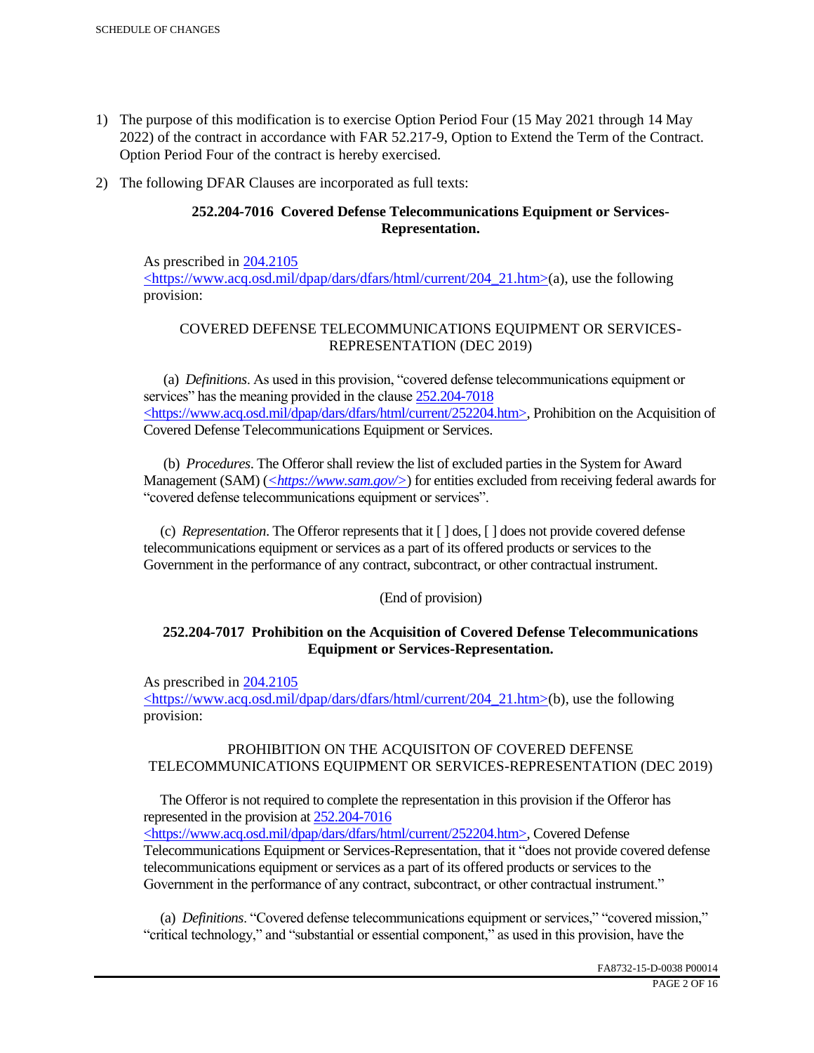- 1) The purpose of this modification is to exercise Option Period Four (15 May 2021 through 14 May 2022) of the contract in accordance with FAR 52.217-9, Option to Extend the Term of the Contract. Option Period Four of the contract is hereby exercised.
- 2) The following DFAR Clauses are incorporated as full texts:

# **252.204-7016 Covered Defense Telecommunications Equipment or Services-Representation.**

As prescribed in 204.2105 <https://www.acq.osd.mil/dpap/dars/dfars/html/current/204\_21.htm>(a), use the following provision:

# COVERED DEFENSE TELECOMMUNICATIONS EQUIPMENT OR SERVICES-REPRESENTATION (DEC 2019)

 (a) *Definitions*. As used in this provision, "covered defense telecommunications equipment or services" has the meaning provided in the clause  $252.204 - 7018$ <https://www.acq.osd.mil/dpap/dars/dfars/html/current/252204.htm>, Prohibition on the Acquisition of Covered Defense Telecommunications Equipment or Services.

 (b) *Procedures*. The Offeror shall review the list of excluded parties in the System for Award Management (SAM) (*<https://www.sam.gov/>*) for entities excluded from receiving federal awards for "covered defense telecommunications equipment or services".

 (c) *Representation*. The Offeror represents that it [ ] does, [ ] does not provide covered defense telecommunications equipment or services as a part of its offered products or services to the Government in the performance of any contract, subcontract, or other contractual instrument.

## (End of provision)

## **252.204-7017 Prohibition on the Acquisition of Covered Defense Telecommunications Equipment or Services-Representation.**

As prescribed in 204.2105

<https://www.acq.osd.mil/dpap/dars/dfars/html/current/204\_21.htm>(b), use the following provision:

## PROHIBITION ON THE ACQUISITON OF COVERED DEFENSE TELECOMMUNICATIONS EQUIPMENT OR SERVICES-REPRESENTATION (DEC 2019)

 The Offeror is not required to complete the representation in this provision if the Offeror has represented in the provision at 252.204-7016

<https://www.acq.osd.mil/dpap/dars/dfars/html/current/252204.htm>, Covered Defense Telecommunications Equipment or Services-Representation, that it "does not provide covered defense telecommunications equipment or services as a part of its offered products or services to the Government in the performance of any contract, subcontract, or other contractual instrument."

 (a) *Definitions*. "Covered defense telecommunications equipment or services," "covered mission," "critical technology," and "substantial or essential component," as used in this provision, have the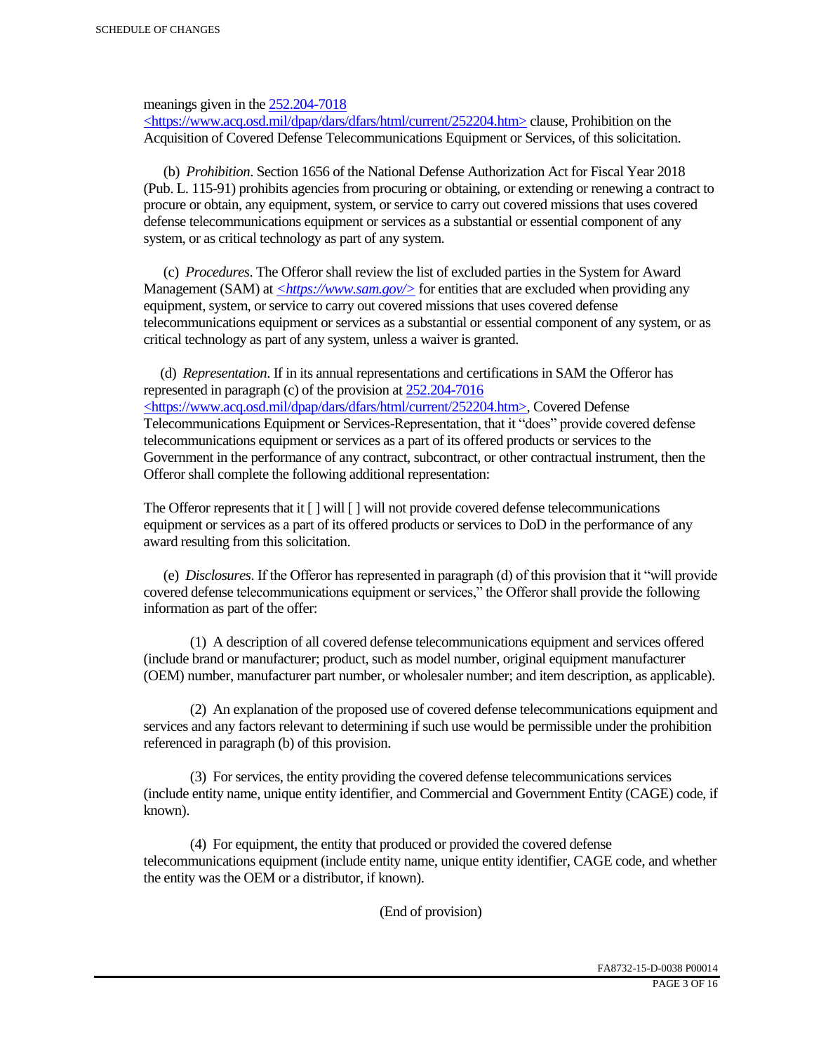meanings given in the 252.204-7018

 $\langle$ https://www.acq.osd.mil/dpap/dars/dfars/html/current/252204.htm> clause, Prohibition on the Acquisition of Covered Defense Telecommunications Equipment or Services, of this solicitation.

 (b) *Prohibition*. Section 1656 of the National Defense Authorization Act for Fiscal Year 2018 (Pub. L. 115-91) prohibits agencies from procuring or obtaining, or extending or renewing a contract to procure or obtain, any equipment, system, or service to carry out covered missions that uses covered defense telecommunications equipment or services as a substantial or essential component of any system, or as critical technology as part of any system.

 (c) *Procedures*. The Offeror shall review the list of excluded parties in the System for Award Management (SAM) at  $\leq$ https://www.sam.gov/> for entities that are excluded when providing any equipment, system, or service to carry out covered missions that uses covered defense telecommunications equipment or services as a substantial or essential component of any system, or as critical technology as part of any system, unless a waiver is granted.

 (d) *Representation*. If in its annual representations and certifications in SAM the Offeror has represented in paragraph (c) of the provision at 252.204-7016 <https://www.acq.osd.mil/dpap/dars/dfars/html/current/252204.htm>, Covered Defense Telecommunications Equipment or Services-Representation, that it "does" provide covered defense telecommunications equipment or services as a part of its offered products or services to the Government in the performance of any contract, subcontract, or other contractual instrument, then the Offeror shall complete the following additional representation:

The Offeror represents that it  $\lceil \cdot \rceil$  will  $\lceil \cdot \rceil$  will not provide covered defense telecommunications equipment or services as a part of its offered products or services to DoD in the performance of any award resulting from this solicitation.

 (e) *Disclosures*. If the Offeror has represented in paragraph (d) of this provision that it "will provide covered defense telecommunications equipment or services," the Offeror shall provide the following information as part of the offer:

 (1) A description of all covered defense telecommunications equipment and services offered (include brand or manufacturer; product, such as model number, original equipment manufacturer (OEM) number, manufacturer part number, or wholesaler number; and item description, as applicable).

 (2) An explanation of the proposed use of covered defense telecommunications equipment and services and any factors relevant to determining if such use would be permissible under the prohibition referenced in paragraph (b) of this provision.

 (3) For services, the entity providing the covered defense telecommunications services (include entity name, unique entity identifier, and Commercial and Government Entity (CAGE) code, if known).

 (4) For equipment, the entity that produced or provided the covered defense telecommunications equipment (include entity name, unique entity identifier, CAGE code, and whether the entity was the OEM or a distributor, if known).

(End of provision)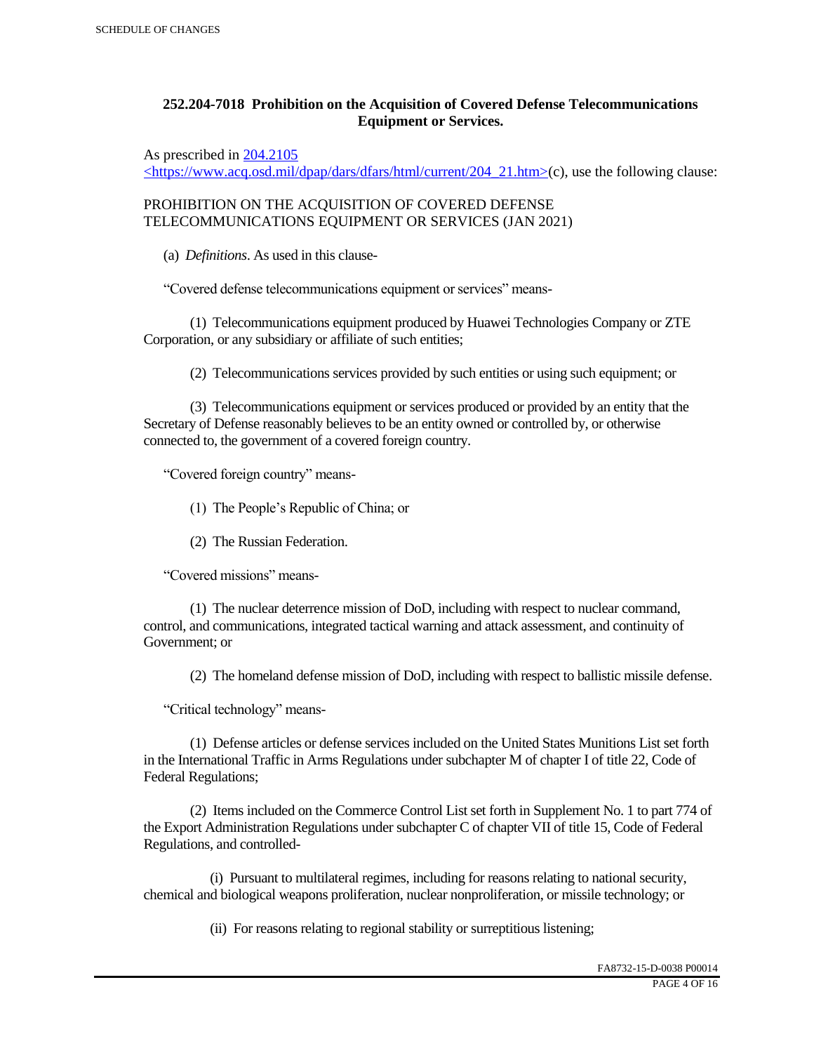# **252.204-7018 Prohibition on the Acquisition of Covered Defense Telecommunications Equipment or Services.**

As prescribed in 204.2105

 $\langle$ https://www.acq.osd.mil/dpap/dars/dfars/html/current/204\_21.htm>(c), use the following clause:

PROHIBITION ON THE ACQUISITION OF COVERED DEFENSE TELECOMMUNICATIONS EQUIPMENT OR SERVICES (JAN 2021)

(a) *Definitions*. As used in this clause-

"Covered defense telecommunications equipment or services" means-

 (1) Telecommunications equipment produced by Huawei Technologies Company or ZTE Corporation, or any subsidiary or affiliate of such entities;

(2) Telecommunications services provided by such entities or using such equipment; or

 (3) Telecommunications equipment or services produced or provided by an entity that the Secretary of Defense reasonably believes to be an entity owned or controlled by, or otherwise connected to, the government of a covered foreign country.

"Covered foreign country" means-

(1) The People's Republic of China; or

(2) The Russian Federation.

"Covered missions" means-

 (1) The nuclear deterrence mission of DoD, including with respect to nuclear command, control, and communications, integrated tactical warning and attack assessment, and continuity of Government; or

(2) The homeland defense mission of DoD, including with respect to ballistic missile defense.

"Critical technology" means-

 (1) Defense articles or defense services included on the United States Munitions List set forth in the International Traffic in Arms Regulations under subchapter M of chapter I of title 22, Code of Federal Regulations;

 (2) Items included on the Commerce Control List set forth in Supplement No. 1 to part 774 of the Export Administration Regulations under subchapter C of chapter VII of title 15, Code of Federal Regulations, and controlled-

 (i) Pursuant to multilateral regimes, including for reasons relating to national security, chemical and biological weapons proliferation, nuclear nonproliferation, or missile technology; or

(ii) For reasons relating to regional stability or surreptitious listening;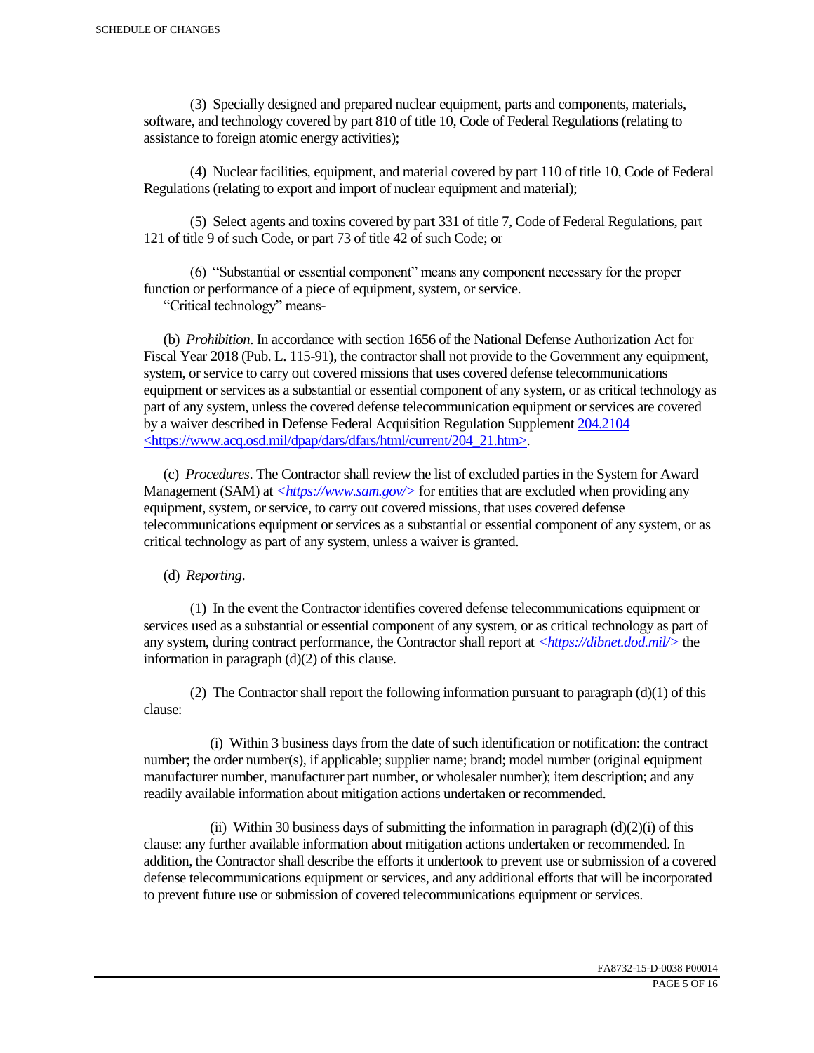(3) Specially designed and prepared nuclear equipment, parts and components, materials, software, and technology covered by part 810 of title 10, Code of Federal Regulations (relating to assistance to foreign atomic energy activities);

 (4) Nuclear facilities, equipment, and material covered by part 110 of title 10, Code of Federal Regulations (relating to export and import of nuclear equipment and material);

 (5) Select agents and toxins covered by part 331 of title 7, Code of Federal Regulations, part 121 of title 9 of such Code, or part 73 of title 42 of such Code; or

 (6) "Substantial or essential component" means any component necessary for the proper function or performance of a piece of equipment, system, or service.

"Critical technology" means-

 (b) *Prohibition*. In accordance with section 1656 of the National Defense Authorization Act for Fiscal Year 2018 (Pub. L. 115-91), the contractor shall not provide to the Government any equipment, system, or service to carry out covered missions that uses covered defense telecommunications equipment or services as a substantial or essential component of any system, or as critical technology as part of any system, unless the covered defense telecommunication equipment or services are covered by a waiver described in Defense Federal Acquisition Regulation Supplement 204.2104 <https://www.acq.osd.mil/dpap/dars/dfars/html/current/204\_21.htm>.

 (c) *Procedures*. The Contractor shall review the list of excluded parties in the System for Award Management (SAM) at  $\langle \frac{https://www.sam.gov/}{>}$  for entities that are excluded when providing any equipment, system, or service, to carry out covered missions, that uses covered defense telecommunications equipment or services as a substantial or essential component of any system, or as critical technology as part of any system, unless a waiver is granted.

(d) *Reporting*.

 (1) In the event the Contractor identifies covered defense telecommunications equipment or services used as a substantial or essential component of any system, or as critical technology as part of any system, during contract performance, the Contractor shall report at *<https://dibnet.dod.mil/>* the information in paragraph (d)(2) of this clause.

(2) The Contractor shall report the following information pursuant to paragraph  $(d)(1)$  of this clause:

 (i) Within 3 business days from the date of such identification or notification: the contract number; the order number(s), if applicable; supplier name; brand; model number (original equipment manufacturer number, manufacturer part number, or wholesaler number); item description; and any readily available information about mitigation actions undertaken or recommended.

(ii) Within 30 business days of submitting the information in paragraph  $(d)(2)(i)$  of this clause: any further available information about mitigation actions undertaken or recommended. In addition, the Contractor shall describe the efforts it undertook to prevent use or submission of a covered defense telecommunications equipment or services, and any additional efforts that will be incorporated to prevent future use or submission of covered telecommunications equipment or services.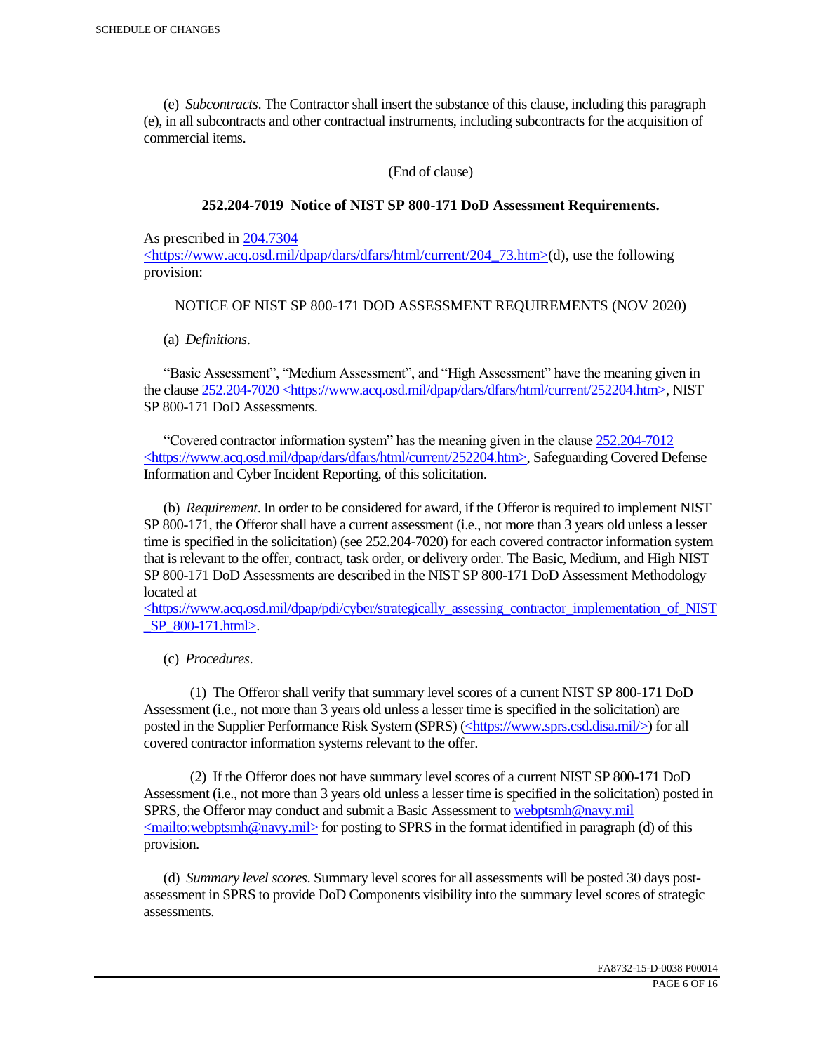(e) *Subcontracts*. The Contractor shall insert the substance of this clause, including this paragraph (e), in all subcontracts and other contractual instruments, including subcontracts for the acquisition of commercial items.

(End of clause)

#### **252.204-7019 Notice of NIST SP 800-171 DoD Assessment Requirements.**

As prescribed in 204.7304

 $\langle$ https://www.acq.osd.mil/dpap/dars/dfars/html/current/204 73.htm>(d), use the following provision:

#### NOTICE OF NIST SP 800-171 DOD ASSESSMENT REQUIREMENTS (NOV 2020)

(a) *Definitions*.

 "Basic Assessment", "Medium Assessment", and "High Assessment" have the meaning given in the clause 252.204-7020 <https://www.acq.osd.mil/dpap/dars/dfars/html/current/252204.htm>, NIST SP 800-171 DoD Assessments.

 "Covered contractor information system" has the meaning given in the clause 252.204-7012 <https://www.acq.osd.mil/dpap/dars/dfars/html/current/252204.htm>, Safeguarding Covered Defense Information and Cyber Incident Reporting, of this solicitation.

 (b) *Requirement*. In order to be considered for award, if the Offeror is required to implement NIST SP 800-171, the Offeror shall have a current assessment (i.e., not more than 3 years old unless a lesser time is specified in the solicitation) (see 252.204-7020) for each covered contractor information system that is relevant to the offer, contract, task order, or delivery order. The Basic, Medium, and High NIST SP 800-171 DoD Assessments are described in the NIST SP 800-171 DoD Assessment Methodology located at

 $\langle$ https://www.acq.osd.mil/dpap/pdi/cyber/strategically\_assessing\_contractor\_implementation\_of\_NIST \_SP\_800-171.html>.

(c) *Procedures*.

 (1) The Offeror shall verify that summary level scores of a current NIST SP 800-171 DoD Assessment (i.e., not more than 3 years old unless a lesser time is specified in the solicitation) are posted in the Supplier Performance Risk System (SPRS) (<https://www.sprs.csd.disa.mil/>) for all covered contractor information systems relevant to the offer.

 (2) If the Offeror does not have summary level scores of a current NIST SP 800-171 DoD Assessment (i.e., not more than 3 years old unless a lesser time is specified in the solicitation) posted in SPRS, the Offeror may conduct and submit a Basic Assessment to webptsmh@navy.mil  $\leq$ mailto:webptsmh@navy.mil> for posting to SPRS in the format identified in paragraph (d) of this provision.

 (d) *Summary level scores*. Summary level scores for all assessments will be posted 30 days postassessment in SPRS to provide DoD Components visibility into the summary level scores of strategic assessments.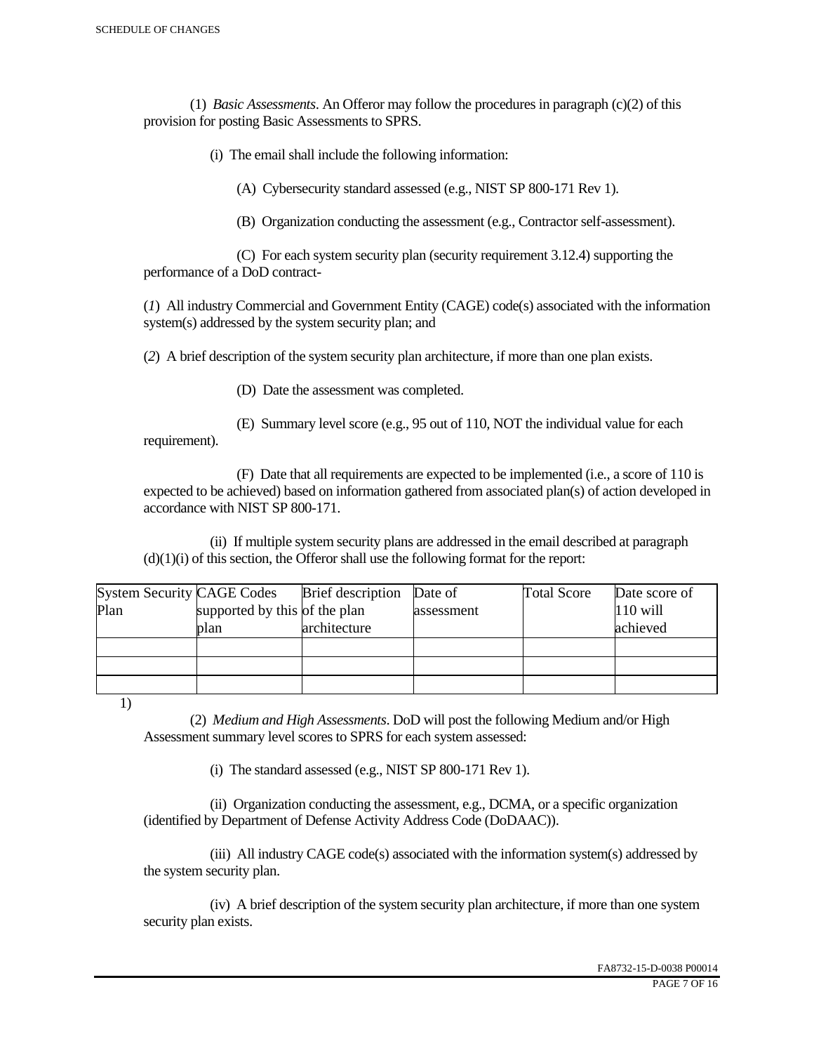(1) *Basic Assessments*. An Offeror may follow the procedures in paragraph (c)(2) of this provision for posting Basic Assessments to SPRS.

(i) The email shall include the following information:

(A) Cybersecurity standard assessed (e.g., NIST SP 800-171 Rev 1).

(B) Organization conducting the assessment (e.g., Contractor self-assessment).

 (C) For each system security plan (security requirement 3.12.4) supporting the performance of a DoD contract-

(*1*) All industry Commercial and Government Entity (CAGE) code(s) associated with the information system(s) addressed by the system security plan; and

(*2*) A brief description of the system security plan architecture, if more than one plan exists.

(D) Date the assessment was completed.

 (E) Summary level score (e.g., 95 out of 110, NOT the individual value for each requirement).

 (F) Date that all requirements are expected to be implemented (i.e., a score of 110 is expected to be achieved) based on information gathered from associated plan(s) of action developed in accordance with NIST SP 800-171.

 (ii) If multiple system security plans are addressed in the email described at paragraph  $(d)(1)(i)$  of this section, the Offeror shall use the following format for the report:

| <b>System Security CAGE Codes</b> |                               | <b>Brief</b> description | Date of    | <b>Total Score</b> | Date score of |
|-----------------------------------|-------------------------------|--------------------------|------------|--------------------|---------------|
| Plan                              | supported by this of the plan |                          | assessment |                    | $110$ will    |
|                                   | plan                          | architecture             |            |                    | achieved      |
|                                   |                               |                          |            |                    |               |
|                                   |                               |                          |            |                    |               |
|                                   |                               |                          |            |                    |               |

1)

 (2) *Medium and High Assessments*. DoD will post the following Medium and/or High Assessment summary level scores to SPRS for each system assessed:

(i) The standard assessed (e.g., NIST SP 800-171 Rev 1).

 (ii) Organization conducting the assessment, e.g., DCMA, or a specific organization (identified by Department of Defense Activity Address Code (DoDAAC)).

 (iii) All industry CAGE code(s) associated with the information system(s) addressed by the system security plan.

 (iv) A brief description of the system security plan architecture, if more than one system security plan exists.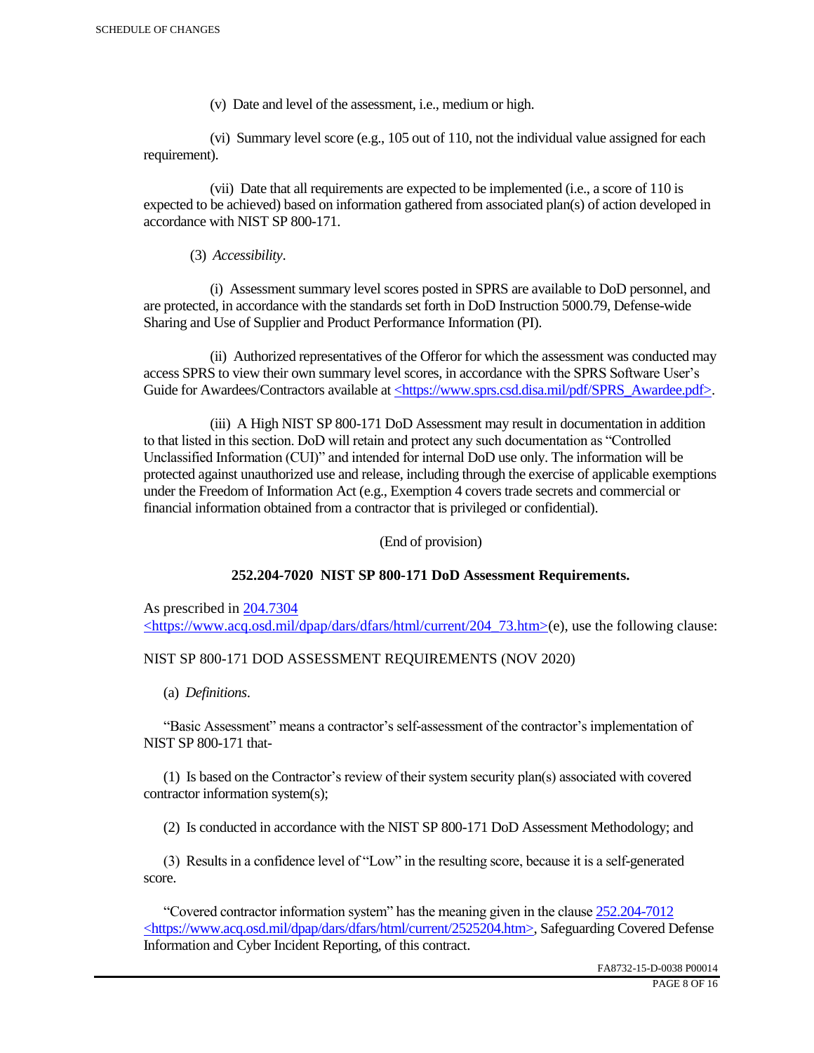(v) Date and level of the assessment, i.e., medium or high.

 (vi) Summary level score (e.g., 105 out of 110, not the individual value assigned for each requirement).

 (vii) Date that all requirements are expected to be implemented (i.e., a score of 110 is expected to be achieved) based on information gathered from associated plan(s) of action developed in accordance with NIST SP 800-171.

(3) *Accessibility*.

 (i) Assessment summary level scores posted in SPRS are available to DoD personnel, and are protected, in accordance with the standards set forth in DoD Instruction 5000.79, Defense-wide Sharing and Use of Supplier and Product Performance Information (PI).

 (ii) Authorized representatives of the Offeror for which the assessment was conducted may access SPRS to view their own summary level scores, in accordance with the SPRS Software User's Guide for Awardees/Contractors available at <https://www.sprs.csd.disa.mil/pdf/SPRS\_Awardee.pdf>.

 (iii) A High NIST SP 800-171 DoD Assessment may result in documentation in addition to that listed in this section. DoD will retain and protect any such documentation as "Controlled Unclassified Information (CUI)" and intended for internal DoD use only. The information will be protected against unauthorized use and release, including through the exercise of applicable exemptions under the Freedom of Information Act (e.g., Exemption 4 covers trade secrets and commercial or financial information obtained from a contractor that is privileged or confidential).

(End of provision)

## **252.204-7020 NIST SP 800-171 DoD Assessment Requirements.**

As prescribed in 204.7304 <https://www.acq.osd.mil/dpap/dars/dfars/html/current/204\_73.htm>(e), use the following clause:

## NIST SP 800-171 DOD ASSESSMENT REQUIREMENTS (NOV 2020)

(a) *Definitions*.

 "Basic Assessment" means a contractor's self-assessment of the contractor's implementation of NIST SP 800-171 that-

 (1) Is based on the Contractor's review of their system security plan(s) associated with covered contractor information system(s);

(2) Is conducted in accordance with the NIST SP 800-171 DoD Assessment Methodology; and

 (3) Results in a confidence level of "Low" in the resulting score, because it is a self-generated score.

 "Covered contractor information system" has the meaning given in the clause 252.204-7012 <https://www.acq.osd.mil/dpap/dars/dfars/html/current/2525204.htm>, Safeguarding Covered Defense Information and Cyber Incident Reporting, of this contract.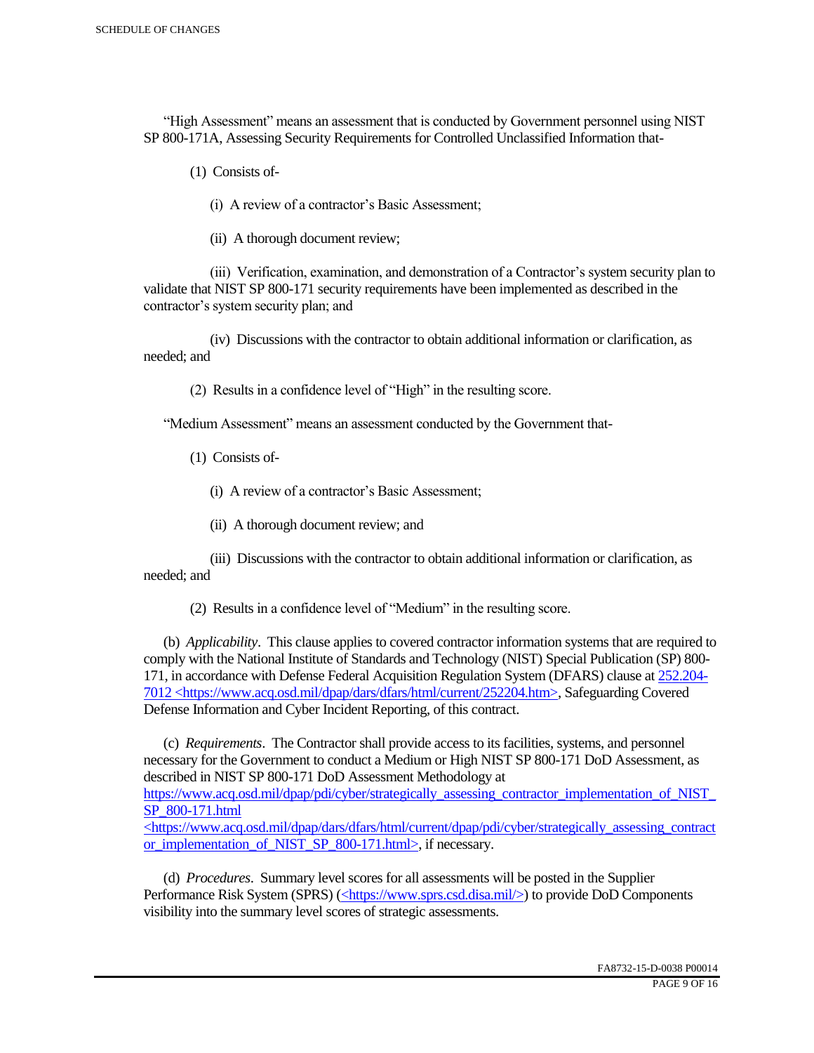"High Assessment" means an assessment that is conducted by Government personnel using NIST SP 800-171A, Assessing Security Requirements for Controlled Unclassified Information that-

(1) Consists of-

(i) A review of a contractor's Basic Assessment;

(ii) A thorough document review;

 (iii) Verification, examination, and demonstration of a Contractor's system security plan to validate that NIST SP 800-171 security requirements have been implemented as described in the contractor's system security plan; and

 (iv) Discussions with the contractor to obtain additional information or clarification, as needed; and

(2) Results in a confidence level of "High" in the resulting score.

"Medium Assessment" means an assessment conducted by the Government that-

(1) Consists of-

(i) A review of a contractor's Basic Assessment;

(ii) A thorough document review; and

 (iii) Discussions with the contractor to obtain additional information or clarification, as needed; and

(2) Results in a confidence level of "Medium" in the resulting score.

 (b) *Applicability*. This clause applies to covered contractor information systems that are required to comply with the National Institute of Standards and Technology (NIST) Special Publication (SP) 800- 171, in accordance with Defense Federal Acquisition Regulation System (DFARS) clause at 252.204- 7012 <https://www.acq.osd.mil/dpap/dars/dfars/html/current/252204.htm>, Safeguarding Covered Defense Information and Cyber Incident Reporting, of this contract.

 (c) *Requirements*. The Contractor shall provide access to its facilities, systems, and personnel necessary for the Government to conduct a Medium or High NIST SP 800-171 DoD Assessment, as described in NIST SP 800-171 DoD Assessment Methodology at https://www.acq.osd.mil/dpap/pdi/cyber/strategically\_assessing\_contractor\_implementation\_of\_NIST\_ SP\_800-171.html <https://www.acq.osd.mil/dpap/dars/dfars/html/current/dpap/pdi/cyber/strategically\_assessing\_contract

or implementation of NIST SP 800-171.html>, if necessary.

 (d) *Procedures*. Summary level scores for all assessments will be posted in the Supplier Performance Risk System (SPRS) (<https://www.sprs.csd.disa.mil/>) to provide DoD Components visibility into the summary level scores of strategic assessments.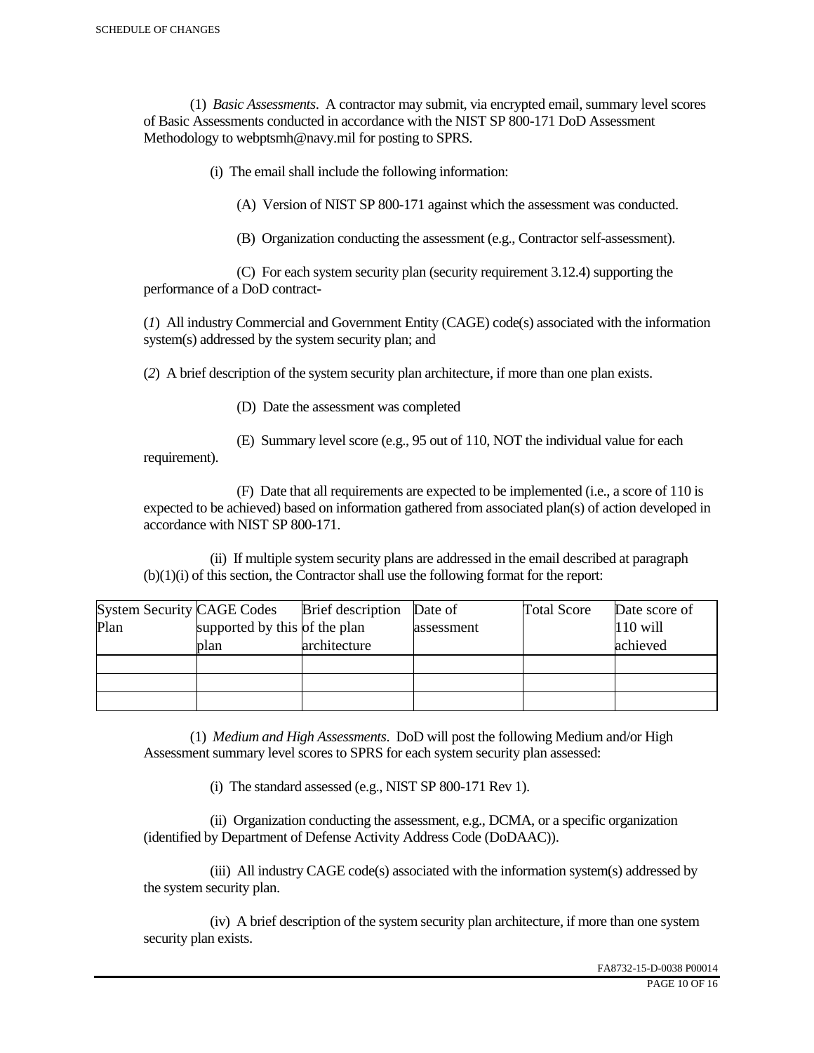(1) *Basic Assessments*. A contractor may submit, via encrypted email, summary level scores of Basic Assessments conducted in accordance with the NIST SP 800-171 DoD Assessment Methodology to webptsmh@navy.mil for posting to SPRS.

(i) The email shall include the following information:

(A) Version of NIST SP 800-171 against which the assessment was conducted.

(B) Organization conducting the assessment (e.g., Contractor self-assessment).

 (C) For each system security plan (security requirement 3.12.4) supporting the performance of a DoD contract-

(*1*) All industry Commercial and Government Entity (CAGE) code(s) associated with the information system(s) addressed by the system security plan; and

(*2*) A brief description of the system security plan architecture, if more than one plan exists.

(D) Date the assessment was completed

requirement).

(E) Summary level score (e.g., 95 out of 110, NOT the individual value for each

 (F) Date that all requirements are expected to be implemented (i.e., a score of 110 is expected to be achieved) based on information gathered from associated plan(s) of action developed in accordance with NIST SP 800-171.

 (ii) If multiple system security plans are addressed in the email described at paragraph (b)(1)(i) of this section, the Contractor shall use the following format for the report:

| <b>System Security CAGE Codes</b> |                               | <b>Brief</b> description | Date of    | <b>Total Score</b> | Date score of |
|-----------------------------------|-------------------------------|--------------------------|------------|--------------------|---------------|
| Plan                              | supported by this of the plan |                          | assessment |                    | $110$ will    |
|                                   | plan                          | architecture             |            |                    | achieved      |
|                                   |                               |                          |            |                    |               |
|                                   |                               |                          |            |                    |               |
|                                   |                               |                          |            |                    |               |

 (1) *Medium and High Assessments*. DoD will post the following Medium and/or High Assessment summary level scores to SPRS for each system security plan assessed:

(i) The standard assessed (e.g., NIST SP 800-171 Rev 1).

 (ii) Organization conducting the assessment, e.g., DCMA, or a specific organization (identified by Department of Defense Activity Address Code (DoDAAC)).

 (iii) All industry CAGE code(s) associated with the information system(s) addressed by the system security plan.

 (iv) A brief description of the system security plan architecture, if more than one system security plan exists.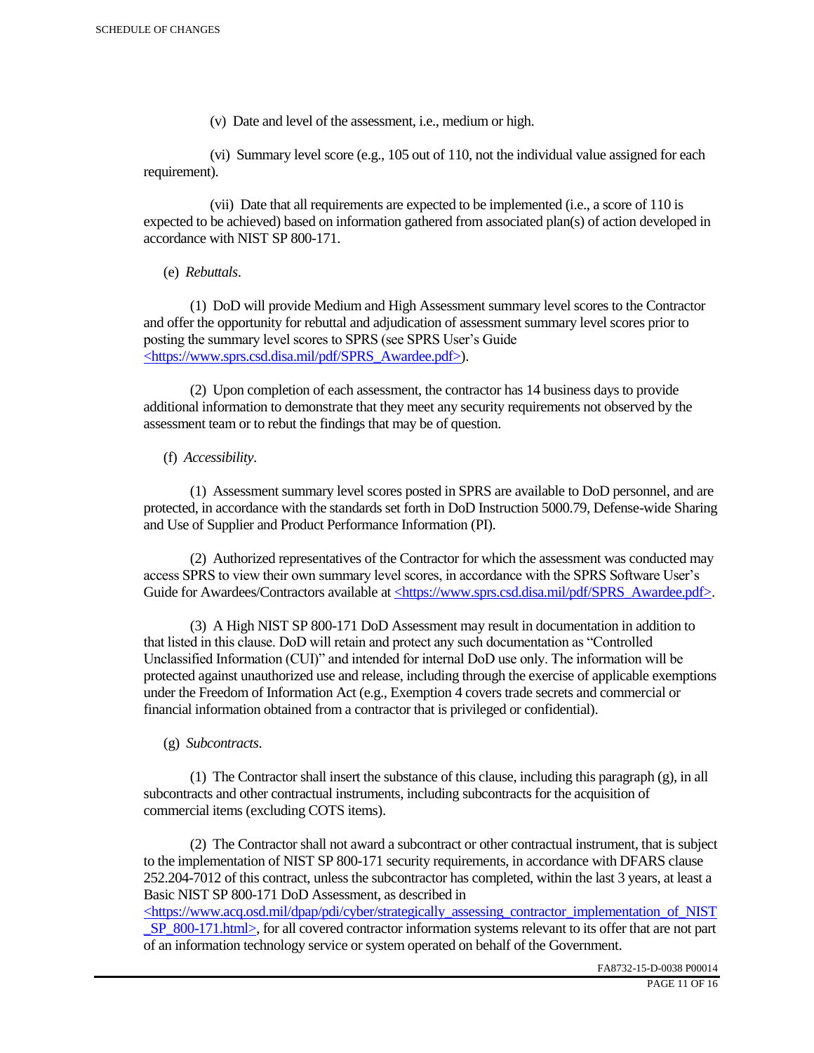(v) Date and level of the assessment, i.e., medium or high.

 (vi) Summary level score (e.g., 105 out of 110, not the individual value assigned for each requirement).

 (vii) Date that all requirements are expected to be implemented (i.e., a score of 110 is expected to be achieved) based on information gathered from associated plan(s) of action developed in accordance with NIST SP 800-171.

(e) *Rebuttals*.

 (1) DoD will provide Medium and High Assessment summary level scores to the Contractor and offer the opportunity for rebuttal and adjudication of assessment summary level scores prior to posting the summary level scores to SPRS (see SPRS User's Guide <https://www.sprs.csd.disa.mil/pdf/SPRS\_Awardee.pdf>).

 (2) Upon completion of each assessment, the contractor has 14 business days to provide additional information to demonstrate that they meet any security requirements not observed by the assessment team or to rebut the findings that may be of question.

## (f) *Accessibility*.

 (1) Assessment summary level scores posted in SPRS are available to DoD personnel, and are protected, in accordance with the standards set forth in DoD Instruction 5000.79, Defense-wide Sharing and Use of Supplier and Product Performance Information (PI).

 (2) Authorized representatives of the Contractor for which the assessment was conducted may access SPRS to view their own summary level scores, in accordance with the SPRS Software User's Guide for Awardees/Contractors available at <https://www.sprs.csd.disa.mil/pdf/SPRS\_Awardee.pdf>.

 (3) A High NIST SP 800-171 DoD Assessment may result in documentation in addition to that listed in this clause. DoD will retain and protect any such documentation as "Controlled Unclassified Information (CUI)" and intended for internal DoD use only. The information will be protected against unauthorized use and release, including through the exercise of applicable exemptions under the Freedom of Information Act (e.g., Exemption 4 covers trade secrets and commercial or financial information obtained from a contractor that is privileged or confidential).

## (g) *Subcontracts*.

(1) The Contractor shall insert the substance of this clause, including this paragraph  $(g)$ , in all subcontracts and other contractual instruments, including subcontracts for the acquisition of commercial items (excluding COTS items).

 (2) The Contractor shall not award a subcontract or other contractual instrument, that is subject to the implementation of NIST SP 800-171 security requirements, in accordance with DFARS clause 252.204-7012 of this contract, unless the subcontractor has completed, within the last 3 years, at least a Basic NIST SP 800-171 DoD Assessment, as described in

 $\langle$ https://www.acq.osd.mil/dpap/pdi/cyber/strategically\_assessing\_contractor\_implementation\_of\_NIST SP\_800-171.html>, for all covered contractor information systems relevant to its offer that are not part of an information technology service or system operated on behalf of the Government.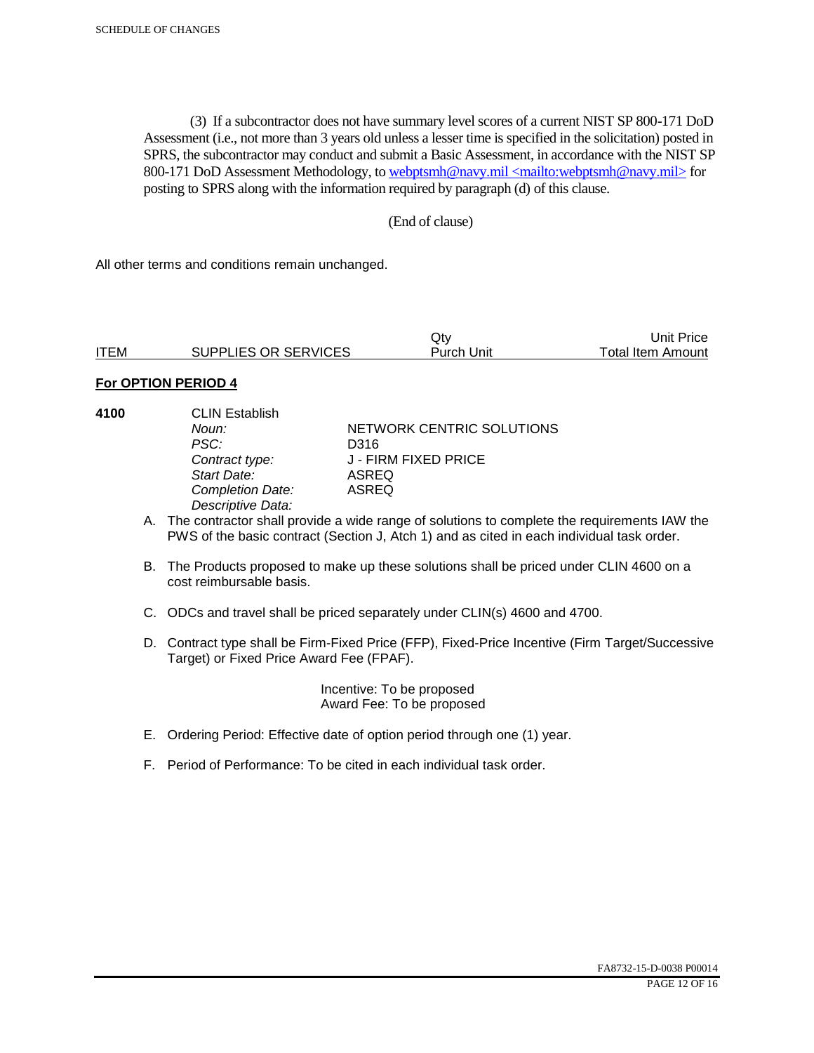(3) If a subcontractor does not have summary level scores of a current NIST SP 800-171 DoD Assessment (i.e., not more than 3 years old unless a lesser time is specified in the solicitation) posted in SPRS, the subcontractor may conduct and submit a Basic Assessment, in accordance with the NIST SP 800-171 DoD Assessment Methodology, to webptsmh@navy.mil <mailto:webptsmh@navy.mil> for posting to SPRS along with the information required by paragraph (d) of this clause.

#### (End of clause)

All other terms and conditions remain unchanged.

|             |                      | Jt∨               | Unit Price l      |
|-------------|----------------------|-------------------|-------------------|
| <b>ITEM</b> | SUPPLIES OR SERVICES | <b>Purch Unit</b> | Total Item Amount |

#### **For OPTION PERIOD 4**

| 4100 | <b>CLIN Establish</b><br>Noun:<br>PSC:<br>Contract type:<br>Start Date:<br><b>Completion Date:</b><br>Descriptive Data: | NETWORK CENTRIC SOLUTIONS<br>D316<br>J - FIRM FIXED PRICE<br>ASREQ<br>ASREQ                                                                                                                 |
|------|-------------------------------------------------------------------------------------------------------------------------|---------------------------------------------------------------------------------------------------------------------------------------------------------------------------------------------|
|      |                                                                                                                         | A. The contractor shall provide a wide range of solutions to complete the requirements IAW the<br>PWS of the basic contract (Section J, Atch 1) and as cited in each individual task order. |
|      | cost reimbursable basis.                                                                                                | B. The Products proposed to make up these solutions shall be priced under CLIN 4600 on a                                                                                                    |
|      |                                                                                                                         | C. ODCs and travel shall be priced separately under CLIN(s) 4600 and 4700.                                                                                                                  |

D. Contract type shall be Firm-Fixed Price (FFP), Fixed-Price Incentive (Firm Target/Successive Target) or Fixed Price Award Fee (FPAF).

> Incentive: To be proposed Award Fee: To be proposed

- E. Ordering Period: Effective date of option period through one (1) year.
- F. Period of Performance: To be cited in each individual task order.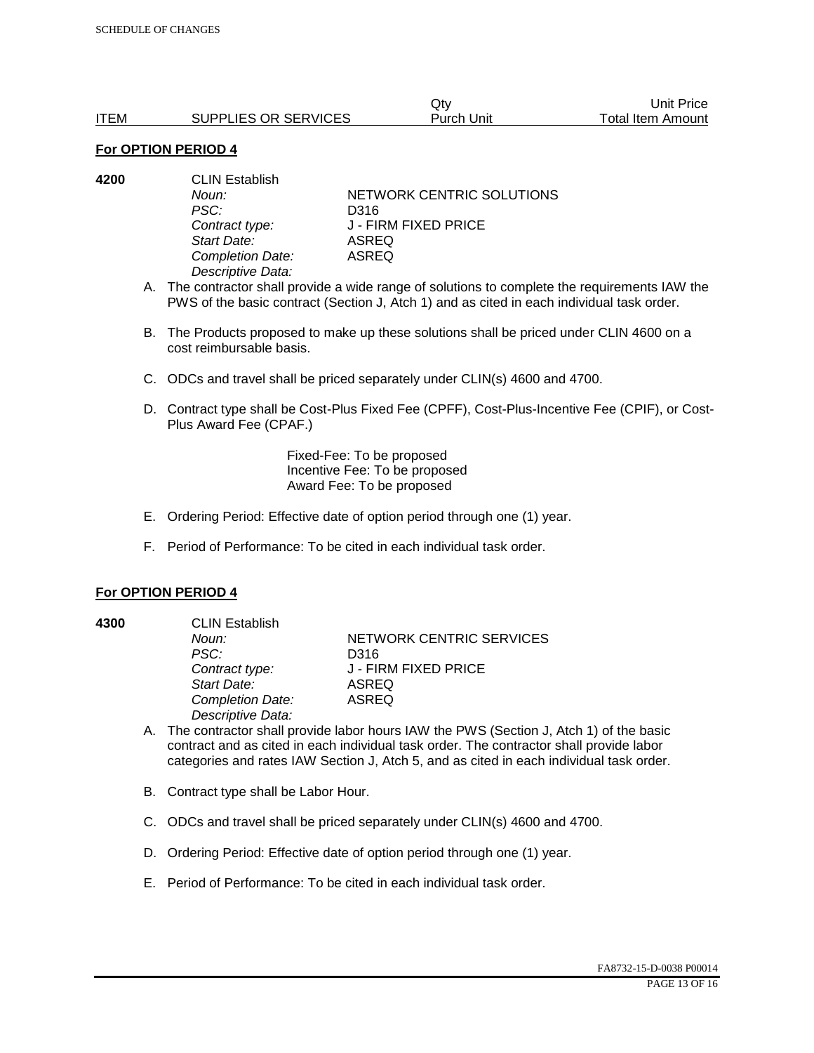|             |                      | Jtv        | Unit Price        |
|-------------|----------------------|------------|-------------------|
| <b>ITEM</b> | SUPPLIES OR SERVICES | Purch Unit | Total Item Amount |

#### **For OPTION PERIOD 4**

| 4200 | <b>CLIN Establish</b> |                           |  |
|------|-----------------------|---------------------------|--|
|      | Noun:                 | NETWORK CENTRIC SOLUTIONS |  |
|      | PSC:                  | D316                      |  |
|      | Contract type:        | J - FIRM FIXED PRICE      |  |
|      | Start Date:           | ASREQ                     |  |
|      | Completion Date:      | ASREQ                     |  |
|      | Descriptive Data:     |                           |  |
|      |                       |                           |  |

- A. The contractor shall provide a wide range of solutions to complete the requirements IAW the PWS of the basic contract (Section J, Atch 1) and as cited in each individual task order.
- B. The Products proposed to make up these solutions shall be priced under CLIN 4600 on a cost reimbursable basis.
- C. ODCs and travel shall be priced separately under CLIN(s) 4600 and 4700.
- D. Contract type shall be Cost-Plus Fixed Fee (CPFF), Cost-Plus-Incentive Fee (CPIF), or Cost-Plus Award Fee (CPAF.)

Fixed-Fee: To be proposed Incentive Fee: To be proposed Award Fee: To be proposed

- E. Ordering Period: Effective date of option period through one (1) year.
- F. Period of Performance: To be cited in each individual task order.

#### **For OPTION PERIOD 4**

**4300** CLIN Establish

*PSC:* D316 *Start Date:* ASREQ *Completion Date:* ASREQ *Descriptive Data:* 

**Noun: NETWORK CENTRIC SERVICES** *Contract type:* J - FIRM FIXED PRICE

- A. The contractor shall provide labor hours IAW the PWS (Section J, Atch 1) of the basic contract and as cited in each individual task order. The contractor shall provide labor categories and rates IAW Section J, Atch 5, and as cited in each individual task order.
- B. Contract type shall be Labor Hour.
- C. ODCs and travel shall be priced separately under CLIN(s) 4600 and 4700.
- D. Ordering Period: Effective date of option period through one (1) year.
- E. Period of Performance: To be cited in each individual task order.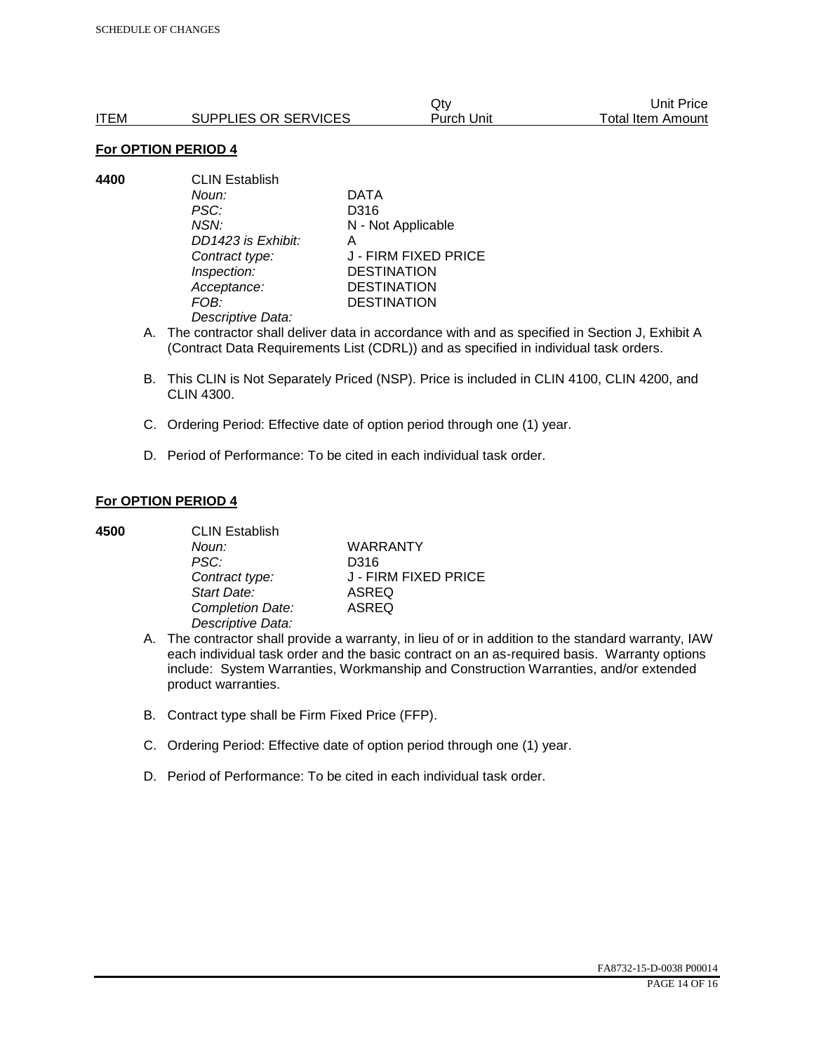|      |                      | Qtv        | Unit Price        |
|------|----------------------|------------|-------------------|
| ITEM | SUPPLIES OR SERVICES | Purch Unit | Total Item Amount |

#### **For OPTION PERIOD 4**

**4400** CLIN Establish *Noun:* DATA *PSC:* D316 *NSN:* N - Not Applicable *DD1423 is Exhibit:* A *Contract type:* J - FIRM FIXED PRICE *Inspection:* DESTINATION *Acceptance:* DESTINATION *FOB:* DESTINATION *Descriptive Data:* 

- A. The contractor shall deliver data in accordance with and as specified in Section J, Exhibit A (Contract Data Requirements List (CDRL)) and as specified in individual task orders.
- B. This CLIN is Not Separately Priced (NSP). Price is included in CLIN 4100, CLIN 4200, and CLIN 4300.
- C. Ordering Period: Effective date of option period through one (1) year.
- D. Period of Performance: To be cited in each individual task order.

#### **For OPTION PERIOD 4**

| 4500 | <b>CLIN Establish</b> |                      |  |
|------|-----------------------|----------------------|--|
|      | Noun:                 | <b>WARRANTY</b>      |  |
|      | PSC:                  | D316                 |  |
|      | Contract type:        | J - FIRM FIXED PRICE |  |
|      | Start Date:           | <b>ASREQ</b>         |  |
|      | Completion Date:      | <b>ASREQ</b>         |  |
|      | Descriptive Data:     |                      |  |

- A. The contractor shall provide a warranty, in lieu of or in addition to the standard warranty, IAW each individual task order and the basic contract on an as-required basis. Warranty options include: System Warranties, Workmanship and Construction Warranties, and/or extended product warranties.
- B. Contract type shall be Firm Fixed Price (FFP).
- C. Ordering Period: Effective date of option period through one (1) year.
- D. Period of Performance: To be cited in each individual task order.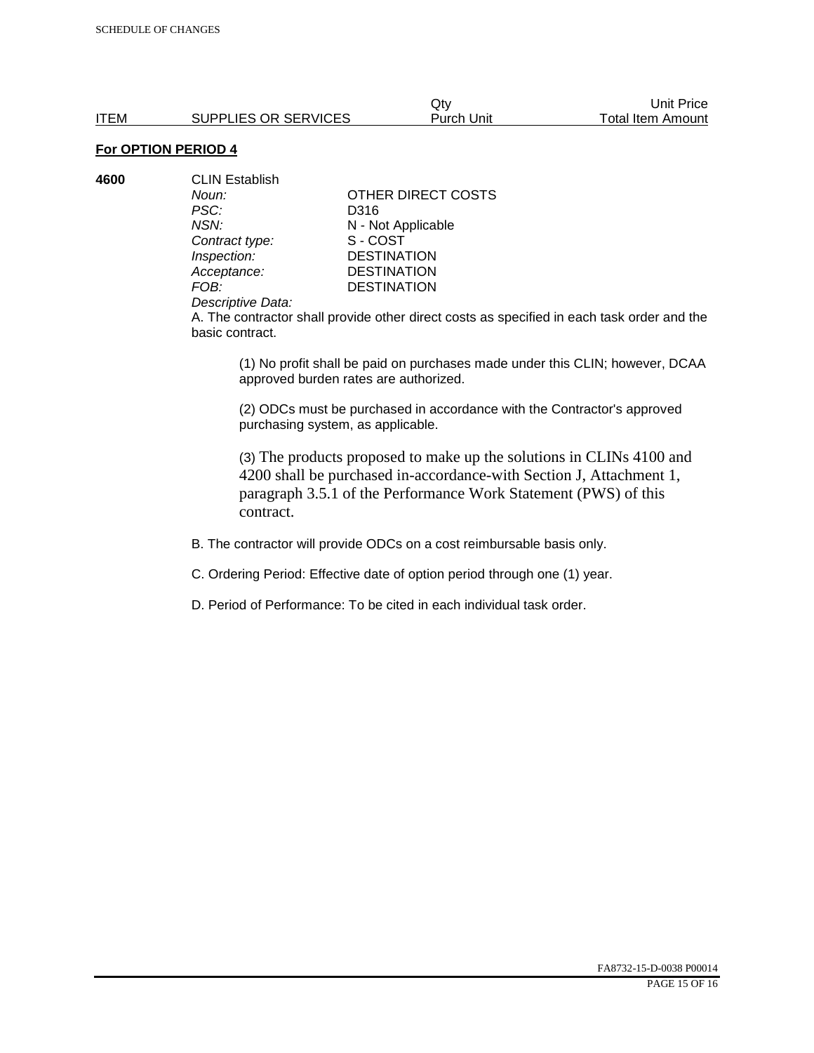Qty Unit Price ITEM SUPPLIES OR SERVICES Purch Unit Total Item Amount

# **For OPTION PERIOD 4**

| 4600 | <b>CLIN Establish</b> |                    |  |
|------|-----------------------|--------------------|--|
|      | Noun:                 | OTHER DIRECT COSTS |  |
|      | PSC:                  | D316               |  |
|      | NSN:                  | N - Not Applicable |  |
|      | Contract type:        | S-COST             |  |
|      | Inspection:           | <b>DESTINATION</b> |  |
|      | Acceptance:           | <b>DESTINATION</b> |  |
|      | FOB:                  | <b>DESTINATION</b> |  |
|      |                       |                    |  |

#### *Descriptive Data:*

A. The contractor shall provide other direct costs as specified in each task order and the basic contract.

(1) No profit shall be paid on purchases made under this CLIN; however, DCAA approved burden rates are authorized.

(2) ODCs must be purchased in accordance with the Contractor's approved purchasing system, as applicable.

(3) The products proposed to make up the solutions in CLINs 4100 and 4200 shall be purchased in-accordance-with Section J, Attachment 1, paragraph 3.5.1 of the Performance Work Statement (PWS) of this contract.

B. The contractor will provide ODCs on a cost reimbursable basis only.

C. Ordering Period: Effective date of option period through one (1) year.

D. Period of Performance: To be cited in each individual task order.